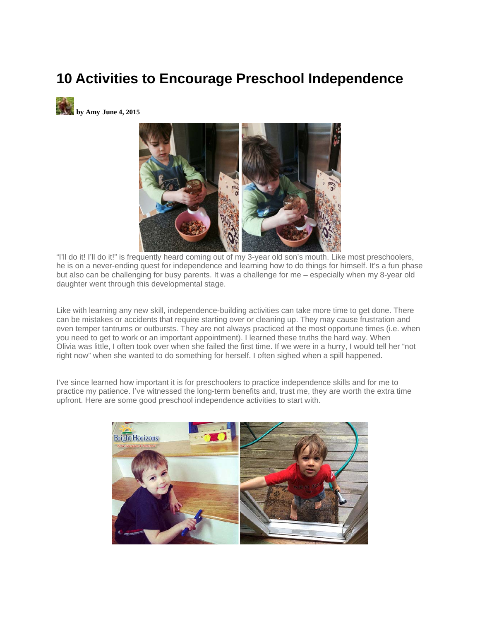## **10 Activities to Encourage Preschool Independence**





"I'll do it! I'll do it!" is frequently heard coming out of my 3-year old son's mouth. Like most preschoolers, he is on a never-ending quest for independence and learning how to do things for himself. It's a fun phase but also can be challenging for busy parents. It was a challenge for me – especially when my 8-year old daughter went through this developmental stage.

Like with learning any new skill, independence-building activities can take more time to get done. There can be mistakes or accidents that require starting over or cleaning up. They may cause frustration and even temper tantrums or outbursts. They are not always practiced at the most opportune times (i.e. when you need to get to work or an important appointment). I learned these truths the hard way. When Olivia was little, I often took over when she failed the first time. If we were in a hurry, I would tell her "not right now" when she wanted to do something for herself. I often sighed when a spill happened.

I've since learned how important it is for preschoolers to practice independence skills and for me to practice my patience. I've witnessed the long-term benefits and, trust me, they are worth the extra time upfront. Here are some good preschool independence activities to start with.